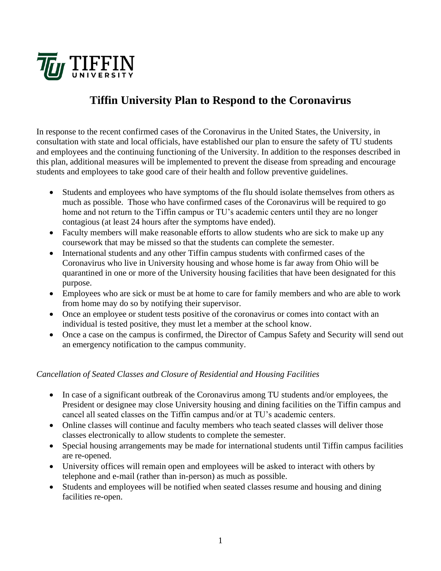

# **Tiffin University Plan to Respond to the Coronavirus**

In response to the recent confirmed cases of the Coronavirus in the United States, the University, in consultation with state and local officials, have established our plan to ensure the safety of TU students and employees and the continuing functioning of the University. In addition to the responses described in this plan, additional measures will be implemented to prevent the disease from spreading and encourage students and employees to take good care of their health and follow preventive guidelines.

- Students and employees who have symptoms of the flu should isolate themselves from others as much as possible. Those who have confirmed cases of the Coronavirus will be required to go home and not return to the Tiffin campus or TU's academic centers until they are no longer contagious (at least 24 hours after the symptoms have ended).
- Faculty members will make reasonable efforts to allow students who are sick to make up any coursework that may be missed so that the students can complete the semester.
- International students and any other Tiffin campus students with confirmed cases of the Coronavirus who live in University housing and whose home is far away from Ohio will be quarantined in one or more of the University housing facilities that have been designated for this purpose.
- Employees who are sick or must be at home to care for family members and who are able to work from home may do so by notifying their supervisor.
- Once an employee or student tests positive of the coronavirus or comes into contact with an individual is tested positive, they must let a member at the school know.
- Once a case on the campus is confirmed, the Director of Campus Safety and Security will send out an emergency notification to the campus community.

# *Cancellation of Seated Classes and Closure of Residential and Housing Facilities*

- In case of a significant outbreak of the Coronavirus among TU students and/or employees, the President or designee may close University housing and dining facilities on the Tiffin campus and cancel all seated classes on the Tiffin campus and/or at TU's academic centers.
- Online classes will continue and faculty members who teach seated classes will deliver those classes electronically to allow students to complete the semester.
- Special housing arrangements may be made for international students until Tiffin campus facilities are re-opened.
- University offices will remain open and employees will be asked to interact with others by telephone and e-mail (rather than in-person) as much as possible.
- Students and employees will be notified when seated classes resume and housing and dining facilities re-open.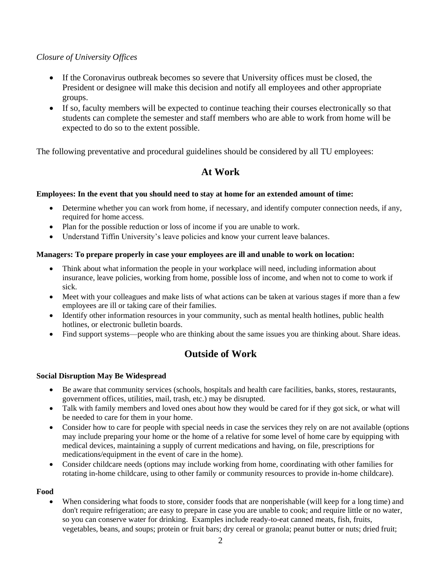# *Closure of University Offices*

- If the Coronavirus outbreak becomes so severe that University offices must be closed, the President or designee will make this decision and notify all employees and other appropriate groups.
- If so, faculty members will be expected to continue teaching their courses electronically so that students can complete the semester and staff members who are able to work from home will be expected to do so to the extent possible.

The following preventative and procedural guidelines should be considered by all TU employees:

# **At Work**

### **Employees: In the event that you should need to stay at home for an extended amount of time:**

- Determine whether you can work from home, if necessary, and identify computer connection needs, if any, required for home access.
- Plan for the possible reduction or loss of income if you are unable to work.
- Understand Tiffin University's leave policies and know your current leave balances.

### **Managers: To prepare properly in case your employees are ill and unable to work on location:**

- Think about what information the people in your workplace will need, including information about insurance, leave policies, working from home, possible loss of income, and when not to come to work if sick.
- Meet with your colleagues and make lists of what actions can be taken at various stages if more than a few employees are ill or taking care of their families.
- Identify other information resources in your community, such as mental health hotlines, public health hotlines, or electronic bulletin boards.
- Find support systems—people who are thinking about the same issues you are thinking about. Share ideas.

# **Outside of Work**

### **Social Disruption May Be Widespread**

- Be aware that community services (schools, hospitals and health care facilities, banks, stores, restaurants, government offices, utilities, mail, trash, etc.) may be disrupted.
- Talk with family members and loved ones about how they would be cared for if they got sick, or what will be needed to care for them in your home.
- Consider how to care for people with special needs in case the services they rely on are not available (options may include preparing your home or the home of a relative for some level of home care by equipping with medical devices, maintaining a supply of current medications and having, on file, prescriptions for medications/equipment in the event of care in the home).
- Consider childcare needs (options may include working from home, coordinating with other families for rotating in-home childcare, using to other family or community resources to provide in-home childcare).

### **Food**

• When considering what foods to store, consider foods that are nonperishable (will keep for a long time) and don't require refrigeration; are easy to prepare in case you are unable to cook; and require little or no water, so you can conserve water for drinking. Examples include ready-to-eat canned meats, fish, fruits, vegetables, beans, and soups; protein or fruit bars; dry cereal or granola; peanut butter or nuts; dried fruit;